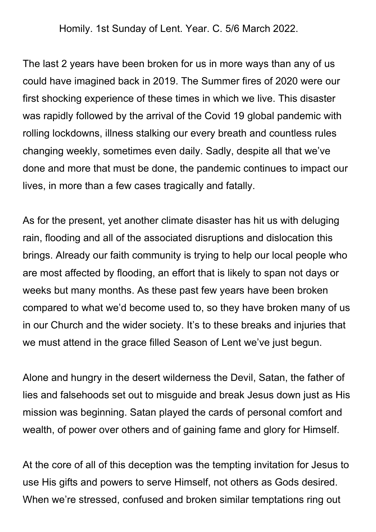Homily. 1st Sunday of Lent. Year. C. 5/6 March 2022.

The last 2 years have been broken for us in more ways than any of us could have imagined back in 2019. The Summer fires of 2020 were our first shocking experience of these times in which we live. This disaster was rapidly followed by the arrival of the Covid 19 global pandemic with rolling lockdowns, illness stalking our every breath and countless rules changing weekly, sometimes even daily. Sadly, despite all that we've done and more that must be done, the pandemic continues to impact our lives, in more than a few cases tragically and fatally.

As for the present, yet another climate disaster has hit us with deluging rain, flooding and all of the associated disruptions and dislocation this brings. Already our faith community is trying to help our local people who are most affected by flooding, an effort that is likely to span not days or weeks but many months. As these past few years have been broken compared to what we'd become used to, so they have broken many of us in our Church and the wider society. It's to these breaks and injuries that we must attend in the grace filled Season of Lent we've just begun.

Alone and hungry in the desert wilderness the Devil, Satan, the father of lies and falsehoods set out to misguide and break Jesus down just as His mission was beginning. Satan played the cards of personal comfort and wealth, of power over others and of gaining fame and glory for Himself.

At the core of all of this deception was the tempting invitation for Jesus to use His gifts and powers to serve Himself, not others as Gods desired. When we're stressed, confused and broken similar temptations ring out